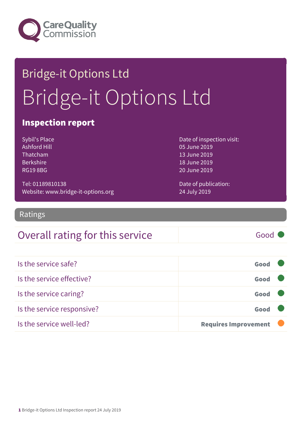

# Bridge-it Options Ltd Bridge-it Options Ltd

### Inspection report

Sybil's Place Ashford Hill Thatcham Berkshire RG19 8BG

Date of inspection visit: 05 June 2019 13 June 2019 18 June 2019 20 June 2019

Tel: 01189810138 Website: www.bridge-it-options.org Date of publication: 24 July 2019

Ratings

### Overall rating for this service Fig. 6000

Is the service safe? Good Is the service effective? Good Is the service caring? Good Is the service responsive? Good Is the service well-led? **Requires Improvement**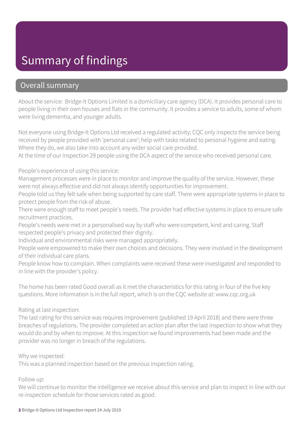### Summary of findings

### Overall summary

About the service: Bridge-It Options Limited is a domiciliary care agency (DCA). It provides personal care to people living in their own houses and flats in the community. It provides a service to adults, some of whom were living dementia, and younger adults.

Not everyone using Bridge-It Options Ltd received a regulated activity; CQC only inspects the service being received by people provided with 'personal care'; help with tasks related to personal hygiene and eating. Where they do, we also take into account any wider social care provided.

At the time of our inspection 29 people using the DCA aspect of the service who received personal care.

People's experience of using this service:

Management processes were in place to monitor and improve the quality of the service. However, these were not always effective and did not always identify opportunities for improvement.

People told us they felt safe when being supported by care staff. There were appropriate systems in place to protect people from the risk of abuse.

There were enough staff to meet people's needs. The provider had effective systems in place to ensure safe recruitment practices.

People's needs were met in a personalised way by staff who were competent, kind and caring. Staff respected people's privacy and protected their dignity.

Individual and environmental risks were managed appropriately.

People were empowered to make their own choices and decisions. They were involved in the development of their individual care plans.

People know how to complain. When complaints were received these were investigated and responded to in line with the provider's policy.

The home has been rated Good overall as it met the characteristics for this rating in four of the five key questions. More information is in the full report, which is on the CQC website at: www.cqc.org.uk

#### Rating at last inspection:

The last rating for this service was requires improvement (published 19 April 2018) and there were three breaches of regulations. The provider completed an action plan after the last inspection to show what they would do and by when to improve. At this inspection we found improvements had been made and the provider was no longer in breach of the regulations.

Why we inspected:

This was a planned inspection based on the previous inspection rating.

#### Follow up:

We will continue to monitor the intelligence we receive about this service and plan to inspect in line with our re-inspection schedule for those services rated as good.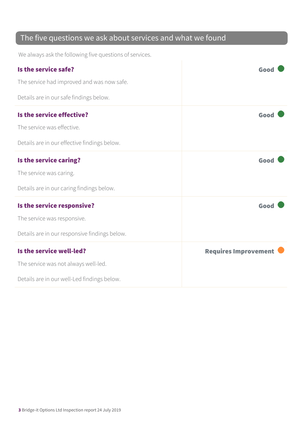### The five questions we ask about services and what we found

We always ask the following five questions of services.

| Is the service safe?                          | Good                        |
|-----------------------------------------------|-----------------------------|
| The service had improved and was now safe.    |                             |
| Details are in our safe findings below.       |                             |
| Is the service effective?                     | Good                        |
| The service was effective.                    |                             |
| Details are in our effective findings below.  |                             |
| Is the service caring?                        | Good                        |
| The service was caring.                       |                             |
| Details are in our caring findings below.     |                             |
| Is the service responsive?                    | Good                        |
| The service was responsive.                   |                             |
| Details are in our responsive findings below. |                             |
| Is the service well-led?                      | <b>Requires Improvement</b> |
| The service was not always well-led.          |                             |
| Details are in our well-Led findings below.   |                             |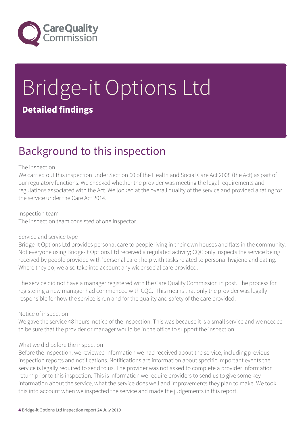

# Bridge-it Options Ltd Detailed findings

### Background to this inspection

#### The inspection

We carried out this inspection under Section 60 of the Health and Social Care Act 2008 (the Act) as part of our regulatory functions. We checked whether the provider was meeting the legal requirements and regulations associated with the Act. We looked at the overall quality of the service and provided a rating for the service under the Care Act 2014.

Inspection team The inspection team consisted of one inspector.

#### Service and service type

Bridge-It Options Ltd provides personal care to people living in their own houses and flats in the community. Not everyone using Bridge-It Options Ltd received a regulated activity; CQC only inspects the service being received by people provided with 'personal care'; help with tasks related to personal hygiene and eating. Where they do, we also take into account any wider social care provided.

The service did not have a manager registered with the Care Quality Commission in post. The process for registering a new manager had commenced with CQC. This means that only the provider was legally responsible for how the service is run and for the quality and safety of the care provided.

#### Notice of inspection

We gave the service 48 hours' notice of the inspection. This was because it is a small service and we needed to be sure that the provider or manager would be in the office to support the inspection.

#### What we did before the inspection

Before the inspection, we reviewed information we had received about the service, including previous inspection reports and notifications. Notifications are information about specific important events the service is legally required to send to us. The provider was not asked to complete a provider information return prior to this inspection. This is information we require providers to send us to give some key information about the service, what the service does well and improvements they plan to make. We took this into account when we inspected the service and made the judgements in this report.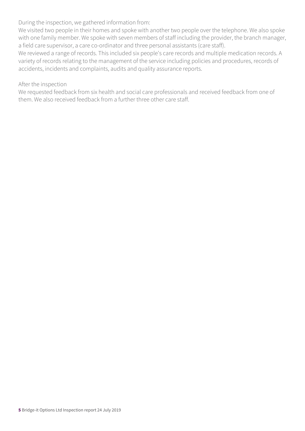During the inspection, we gathered information from:

We visited two people in their homes and spoke with another two people over the telephone. We also spoke with one family member. We spoke with seven members of staff including the provider, the branch manager, a field care supervisor, a care co-ordinator and three personal assistants (care staff).

We reviewed a range of records. This included six people's care records and multiple medication records. A variety of records relating to the management of the service including policies and procedures, records of accidents, incidents and complaints, audits and quality assurance reports.

#### After the inspection

We requested feedback from six health and social care professionals and received feedback from one of them. We also received feedback from a further three other care staff.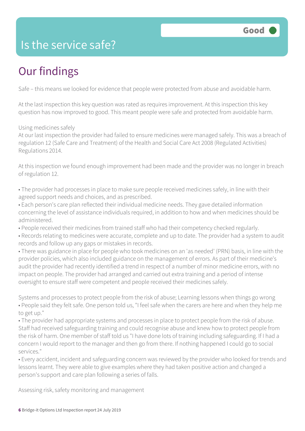### Is the service safe?

## Our findings

Safe – this means we looked for evidence that people were protected from abuse and avoidable harm.

At the last inspection this key question was rated as requires improvement. At this inspection this key question has now improved to good. This meant people were safe and protected from avoidable harm.

#### Using medicines safely

At our last inspection the provider had failed to ensure medicines were managed safely. This was a breach of regulation 12 (Safe Care and Treatment) of the Health and Social Care Act 2008 (Regulated Activities) Regulations 2014.

At this inspection we found enough improvement had been made and the provider was no longer in breach of regulation 12.

• The provider had processes in place to make sure people received medicines safely, in line with their agreed support needs and choices, and as prescribed.

- Each person's care plan reflected their individual medicine needs. They gave detailed information concerning the level of assistance individuals required, in addition to how and when medicines should be administered.
- People received their medicines from trained staff who had their competency checked regularly.
- Records relating to medicines were accurate, complete and up to date. The provider had a system to audit records and follow up any gaps or mistakes in records.

• There was guidance in place for people who took medicines on an 'as needed' (PRN) basis, in line with the provider policies, which also included guidance on the management of errors. As part of their medicine's audit the provider had recently identified a trend in respect of a number of minor medicine errors, with no impact on people. The provider had arranged and carried out extra training and a period of intense oversight to ensure staff were competent and people received their medicines safely.

Systems and processes to protect people from the risk of abuse; Learning lessons when things go wrong • People said they felt safe. One person told us, "I feel safe when the carers are here and when they help me to get up."

• The provider had appropriate systems and processes in place to protect people from the risk of abuse. Staff had received safeguarding training and could recognise abuse and knew how to protect people from the risk of harm. One member of staff told us "I have done lots of training including safeguarding. If I had a concern I would report to the manager and then go from there. If nothing happened I could go to social services."

• Every accident, incident and safeguarding concern was reviewed by the provider who looked for trends and lessons learnt. They were able to give examples where they had taken positive action and changed a person's support and care plan following a series of falls.

Assessing risk, safety monitoring and management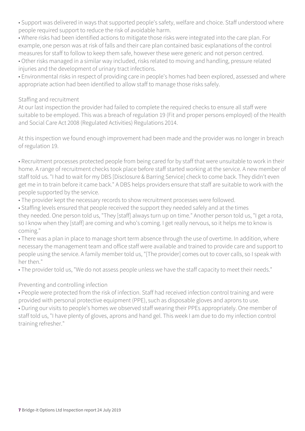• Support was delivered in ways that supported people's safety, welfare and choice. Staff understood where people required support to reduce the risk of avoidable harm.

• Where risks had been identified actions to mitigate those risks were integrated into the care plan. For example, one person was at risk of falls and their care plan contained basic explanations of the control measures for staff to follow to keep them safe, however these were generic and not person centred. • Other risks managed in a similar way included, risks related to moving and handling, pressure related

injuries and the development of urinary tract infections.

• Environmental risks in respect of providing care in people's homes had been explored, assessed and where appropriate action had been identified to allow staff to manage those risks safely.

#### Staffing and recruitment

At our last inspection the provider had failed to complete the required checks to ensure all staff were suitable to be employed. This was a breach of regulation 19 (Fit and proper persons employed) of the Health and Social Care Act 2008 (Regulated Activities) Regulations 2014.

At this inspection we found enough improvement had been made and the provider was no longer in breach of regulation 19.

• Recruitment processes protected people from being cared for by staff that were unsuitable to work in their home. A range of recruitment checks took place before staff started working at the service. A new member of staff told us. "I had to wait for my DBS [Disclosure & Barring Service] check to come back. They didn't even get me in to train before it came back." A DBS helps providers ensure that staff are suitable to work with the people supported by the service.

• The provider kept the necessary records to show recruitment processes were followed.

• Staffing levels ensured that people received the support they needed safely and at the times they needed. One person told us, "They [staff] always turn up on time." Another person told us, "I get a rota, so I know when they [staff] are coming and who's coming. I get really nervous, so it helps me to know is coming."

• There was a plan in place to manage short term absence through the use of overtime. In addition, where necessary the management team and office staff were available and trained to provide care and support to people using the service. A family member told us, "[The provider] comes out to cover calls, so I speak with her then."

• The provider told us, "We do not assess people unless we have the staff capacity to meet their needs."

#### Preventing and controlling infection

• People were protected from the risk of infection. Staff had received infection control training and were provided with personal protective equipment (PPE), such as disposable gloves and aprons to use.

• During our visits to people's homes we observed staff wearing their PPEs appropriately. One member of staff told us, "I have plenty of gloves, aprons and hand gel. This week I am due to do my infection control training refresher."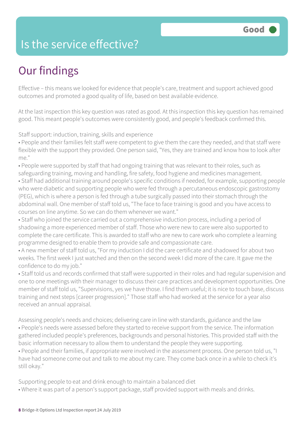### Is the service effective?

## Our findings

Effective – this means we looked for evidence that people's care, treatment and support achieved good outcomes and promoted a good quality of life, based on best available evidence.

At the last inspection this key question was rated as good. At this inspection this key question has remained good. This meant people's outcomes were consistently good, and people's feedback confirmed this.

Staff support: induction, training, skills and experience

• People and their families felt staff were competent to give them the care they needed, and that staff were flexible with the support they provided. One person said, "Yes, they are trained and know how to look after me."

• People were supported by staff that had ongoing training that was relevant to their roles, such as safeguarding training, moving and handling, fire safety, food hygiene and medicines management.

• Staff had additional training around people's specific conditions if needed, for example, supporting people who were diabetic and supporting people who were fed through a percutaneous endoscopic gastrostomy (PEG), which is where a person is fed through a tube surgically passed into their stomach through the abdominal wall. One member of staff told us, "The face to face training is good and you have access to courses on line anytime. So we can do them whenever we want."

• Staff who joined the service carried out a comprehensive induction process, including a period of shadowing a more experienced member of staff. Those who were new to care were also supported to complete the care certificate. This is awarded to staff who are new to care work who complete a learning programme designed to enable them to provide safe and compassionate care.

• A new member of staff told us, "For my induction I did the care certificate and shadowed for about two weeks. The first week I just watched and then on the second week I did more of the care. It gave me the confidence to do my job."

• Staff told us and records confirmed that staff were supported in their roles and had regular supervision and one to one meetings with their manager to discuss their care practices and development opportunities. One member of staff told us, "Supervisions, yes we have those. I find them useful; it is nice to touch base, discuss training and next steps [career progression]." Those staff who had worked at the service for a year also received an annual appraisal.

Assessing people's needs and choices; delivering care in line with standards, guidance and the law • People's needs were assessed before they started to receive support from the service. The information gathered included people's preferences, backgrounds and personal histories. This provided staff with the basic information necessary to allow them to understand the people they were supporting.

• People and their families, if appropriate were involved in the assessment process. One person told us, "I have had someone come out and talk to me about my care. They come back once in a while to check it's still okay."

Supporting people to eat and drink enough to maintain a balanced diet

• Where it was part of a person's support package, staff provided support with meals and drinks.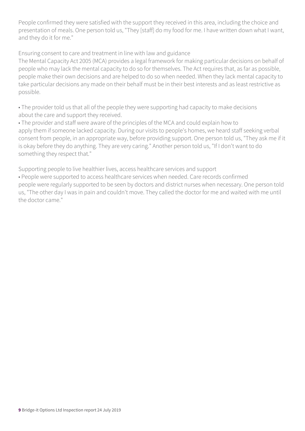People confirmed they were satisfied with the support they received in this area, including the choice and presentation of meals. One person told us, "They [staff] do my food for me. I have written down what I want, and they do it for me."

Ensuring consent to care and treatment in line with law and guidance

The Mental Capacity Act 2005 (MCA) provides a legal framework for making particular decisions on behalf of people who may lack the mental capacity to do so for themselves. The Act requires that, as far as possible, people make their own decisions and are helped to do so when needed. When they lack mental capacity to take particular decisions any made on their behalf must be in their best interests and as least restrictive as possible.

• The provider told us that all of the people they were supporting had capacity to make decisions about the care and support they received.

• The provider and staff were aware of the principles of the MCA and could explain how to apply them if someone lacked capacity. During our visits to people's homes, we heard staff seeking verbal consent from people, in an appropriate way, before providing support. One person told us, "They ask me if it is okay before they do anything. They are very caring." Another person told us, "If I don't want to do something they respect that."

Supporting people to live healthier lives, access healthcare services and support • People were supported to access healthcare services when needed. Care records confirmed people were regularly supported to be seen by doctors and district nurses when necessary. One person told us, "The other day I was in pain and couldn't move. They called the doctor for me and waited with me until the doctor came."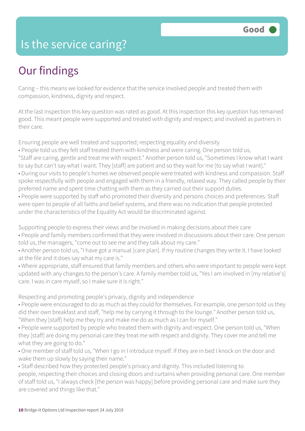### Is the service caring?

### Our findings

Caring – this means we looked for evidence that the service involved people and treated them with compassion, kindness, dignity and respect.

At the last inspection this key question was rated as good. At this inspection this key question has remained good. This meant people were supported and treated with dignity and respect; and involved as partners in their care.

Ensuring people are well treated and supported; respecting equality and diversity

- People told us they felt staff treated them with kindness and were caring. One person told us,
- "Staff are caring, gentle and treat me with respect." Another person told us, "Sometimes I know what I want to say but can't say what I want. They [staff] are patient and so they wait for me [to say what I want]."
- During our visits to people's homes we observed people were treated with kindness and compassion. Staff spoke respectfully with people and engaged with them in a friendly, relaxed way. They called people by their preferred name and spent time chatting with them as they carried out their support duties.
- People were supported by staff who promoted their diversity and persons choices and preferences. Staff were open to people of all faiths and belief systems, and there was no indication that people protected under the characteristics of the Equality Act would be discriminated against.

Supporting people to express their views and be involved in making decisions about their care

- People and family members confirmed that they were involved in discussions about their care. One person told us, the managers, "come out to see me and they talk about my care."
- Another person told us, "I have got a manual [care plan]. If my routine changes they write it. I have looked at the file and it does say what my care is."
- Where appropriate, staff ensured that family members and others who were important to people were kept updated with any changes to the person's care. A family member told us, "Yes I am involved in [my relative's] care. I was in care myself, so I make sure it is right."

Respecting and promoting people's privacy, dignity and independence

- People were encouraged to do as much as they could for themselves. For example, one person told us they did their own breakfast and staff, "help me by carrying it through to the lounge." Another person told us, "When they [staff] help me they try and make me do as much as I can for myself."
- People were supported by people who treated them with dignity and respect. One person told us, "When they [staff] are doing my personal care they treat me with respect and dignity. They cover me and tell me what they are going to do."
- One member of staff told us, "When I go in I introduce myself. If they are in bed I knock on the door and wake them up slowly by saying their name."
- Staff described how they protected people's privacy and dignity. This included listening to people, respecting their choices and closing doors and curtains when providing personal care. One member of staff told us, "I always check [the person was happy] before providing personal care and make sure they are covered and things like that."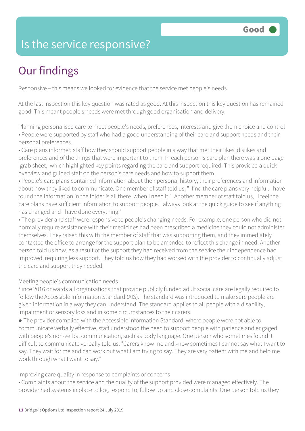### Is the service responsive?

# Our findings

Responsive – this means we looked for evidence that the service met people's needs.

At the last inspection this key question was rated as good. At this inspection this key question has remained good. This meant people's needs were met through good organisation and delivery.

Planning personalised care to meet people's needs, preferences, interests and give them choice and control • People were supported by staff who had a good understanding of their care and support needs and their personal preferences.

• Care plans informed staff how they should support people in a way that met their likes, dislikes and preferences and of the things that were important to them. In each person's care plan there was a one page 'grab sheet,' which highlighted key points regarding the care and support required. This provided a quick overview and guided staff on the person's care needs and how to support them.

• People's care plans contained information about their personal history, their preferences and information about how they liked to communicate. One member of staff told us, "I find the care plans very helpful. I have found the information in the folder is all there, when I need it." Another member of staff told us, "I feel the care plans have sufficient information to support people. I always look at the quick guide to see if anything has changed and I have done everything."

• The provider and staff were responsive to people's changing needs. For example, one person who did not normally require assistance with their medicines had been prescribed a medicine they could not administer themselves. They raised this with the member of staff that was supporting them, and they immediately contacted the office to arrange for the support plan to be amended to reflect this change in need. Another person told us how, as a result of the support they had received from the service their independence had improved, requiring less support. They told us how they had worked with the provider to continually adjust the care and support they needed.

#### Meeting people's communication needs

Since 2016 onwards all organisations that provide publicly funded adult social care are legally required to follow the Accessible Information Standard (AIS). The standard was introduced to make sure people are given information in a way they can understand. The standard applies to all people with a disability, impairment or sensory loss and in some circumstances to their carers.

● The provider complied with the Accessible Information Standard, where people were not able to communicate verbally effective, staff understood the need to support people with patience and engaged with people's non-verbal communication, such as body language. One person who sometimes found it difficult to communicate verbally told us, "Carers know me and know sometimes I cannot say what I want to say. They wait for me and can work out what I am trying to say. They are very patient with me and help me work through what I want to say."

Improving care quality in response to complaints or concerns

• Complaints about the service and the quality of the support provided were managed effectively. The provider had systems in place to log, respond to, follow up and close complaints. One person told us they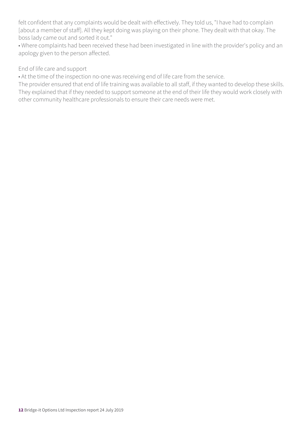felt confident that any complaints would be dealt with effectively. They told us, "I have had to complain [about a member of staff]. All they kept doing was playing on their phone. They dealt with that okay. The boss lady came out and sorted it out."

• Where complaints had been received these had been investigated in line with the provider's policy and an apology given to the person affected.

#### End of life care and support

• At the time of the inspection no-one was receiving end of life care from the service.

The provider ensured that end of life training was available to all staff, if they wanted to develop these skills. They explained that if they needed to support someone at the end of their life they would work closely with other community healthcare professionals to ensure their care needs were met.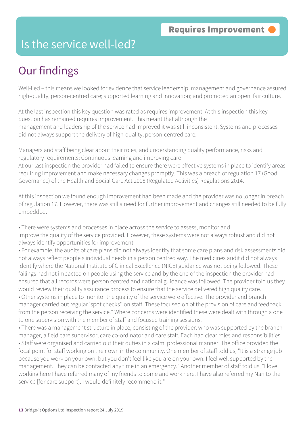### Is the service well-led?

## Our findings

Well-Led – this means we looked for evidence that service leadership, management and governance assured high-quality, person-centred care; supported learning and innovation; and promoted an open, fair culture.

At the last inspection this key question was rated as requires improvement. At this inspection this key question has remained requires improvement. This meant that although the management and leadership of the service had improved it was still inconsistent. Systems and processes did not always support the delivery of high-quality, person-centred care.

Managers and staff being clear about their roles, and understanding quality performance, risks and regulatory requirements; Continuous learning and improving care At our last inspection the provider had failed to ensure there were effective systems in place to identify areas requiring improvement and make necessary changes promptly. This was a breach of regulation 17 (Good Governance) of the Health and Social Care Act 2008 (Regulated Activities) Regulations 2014.

At this inspection we found enough improvement had been made and the provider was no longer in breach of regulation 17. However, there was still a need for further improvement and changes still needed to be fully embedded.

- There were systems and processes in place across the service to assess, monitor and
- improve the quality of the service provided. However, these systems were not always robust and did not always identify opportunities for improvement.
- For example, the audits of care plans did not always identify that some care plans and risk assessments did not always reflect people's individual needs in a person centred way. The medicines audit did not always identify where the National Institute of Clinical Excellence (NICE) guidance was not being followed. These failings had not impacted on people using the service and by the end of the inspection the provider had ensured that all records were person centred and national guidance was followed. The provider told us they would review their quality assurance process to ensure that the service delivered high quality care.
- Other systems in place to monitor the quality of the service were effective. The provider and branch manager carried out regular 'spot checks'' on staff. These focused on of the provision of care and feedback from the person receiving the service." Where concerns were identified these were dealt with through a one to one supervision with the member of staff and focused training sessions.
- There was a management structure in place, consisting of the provider, who was supported by the branch manager, a field care supervisor, care co-ordinator and care staff. Each had clear roles and responsibilities. • Staff were organised and carried out their duties in a calm, professional manner. The office provided the focal point for staff working on their own in the community. One member of staff told us, "It is a strange job because you work on your own, but you don't feel like you are on your own. I feel well supported by the management. They can be contacted any time in an emergency." Another member of staff told us, "I love working here I have referred many of my friends to come and work here. I have also referred my Nan to the service [for care support]. I would definitely recommend it."